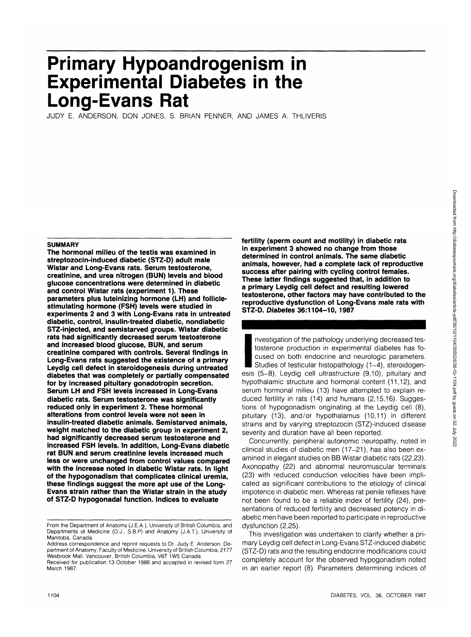# **Primary Hypoandrogenjsm in Experimental Diabetes in the Long-Evans Rat**

JUDY E. ANDERSON, DON JONES, S. BRIAN PENNER, AND JAMES A. THLIVERIS

## **SUMMARY**

**The hormonal milieu of the testis was examined in streptozocin-induced diabetic (STZ-D) adult male Wistar and Long-Evans rats. Serum testosterone, creatinine, and urea nitrogen (BUN) levels and blood glucose concentrations were determined in diabetic and control Wistar rats (experiment 1). These parameters plus luteinizing hormone (LH) and folliclestimulating hormone (FSH) levels were studied in experiments 2 and 3 with Long-Evans rats in untreated diabetic, control, insulin-treated diabetic, nondiabetic STZ-injected, and semistarved groups. Wistar diabetic rats had significantly decreased serum testosterone and increased blood glucose, BUN, and serum creatinine compared with controls. Several findings in Long-Evans rats suggested the existence of a primary Leydig cell defect in steroidogenesis during untreated diabetes that was completely or partially compensated for by increased pituitary gonadotropin secretion. Serum LH and FSH levels increased in Long-Evans diabetic rats. Serum testosterone was significantly reduced only in experiment 2. These hormonal alterations from control levels were not seen in insulin-treated diabetic animals. Semistarved animals, weight matched to the diabetic group in experiment 2, had significantly decreased serum testosterone and increased FSH levels. In addition, Long-Evans diabetic rat BUN and serum creatinine levels increased much less or were unchanged from control values compared with the increase noted in diabetic Wistar rats. In light of the hypogonadism that complicates clinical uremia, these findings suggest the more apt use of the Long-Evans strain rather than the Wistar strain in the study of STZ-D hypogonadal function. Indices to evaluate**

**fertility (sperm count and motility) in diabetic rats in experiment 3 showed no change from those determined in control animals. The same diabetic animals, however, had a complete lack of reproductive success after pairing with cycling control females. These latter findings suggested that, in addition to a primary Leydig cell defect and resulting lowered testosterone, other factors may have contributed to the reproductive dysfunction of Long-Evans male rats with STZ-D. Diabetes 36:1104-10, 1987**

STZ-I<br>
Internet<br>
esis<br>
hundi nvestigation of the pathology underlying decreased testosterone production in experimental diabetes has focused on both endocrine and neurologic parameters. Studies of testicular histopathology (1-4), steroidogenesis (5-8), Leydig cell ultrastructure (9,10), pituitary and hypothalamic structure and hormonal content (11,12), and serum hormonal milieu (13) have attempted to explain reduced fertility in rats (14) and humans (2,15,16). Suggestions of hypogonadism originating at the Leydig cell (8), pituitary (13), and/or hypothalamus (10,11) in different strains and by varying streptozocin (STZ)-induced disease severity and duration have all been reported.

Concurrently, peripheral autonomic neuropathy, noted in clinical studies of diabetic men (17-21), has also been examined in elegant studies on BB Wistar diabetic rats (22,23). Axonopathy (22) and abnormal neuromuscular terminals (23) with reduced conduction velocities have been implicated as significant contributions to the etiology of clinical impotence in diabetic men. Whereas rat penile reflexes have not been found to be a reliable index of fertility (24), presentations of reduced fertility and decreased potency in diabetic men have been reported to participate in reproductive dysfunction (2,25).

This investigation was undertaken to clarify whether a primary Leydig cell defect in Long-Evans STZ-induced diabetic (STZ-D) rats and the resulting endocrine modifications could completely account for the observed hypogonadism noted in an earlier report (8). Parameters determining indices of

From the Department of Anatomy (J.E.A.), University of British Columbia, and Departments of Medicine (D.J., S.B.P) and Anatomy (J.A.T.), University of Manitoba, Canada.

Address correspondence and reprint requests to Dr. Judy E. Anderson, Department of Anatomy, Faculty of Medicine, University of British Columbia, 2177 Wesbrook Mall, Vancouver, British Columbia, V6T 1W5 Canada.

Received for publication 13 October 1986 and accepted in revised form 27 March 1987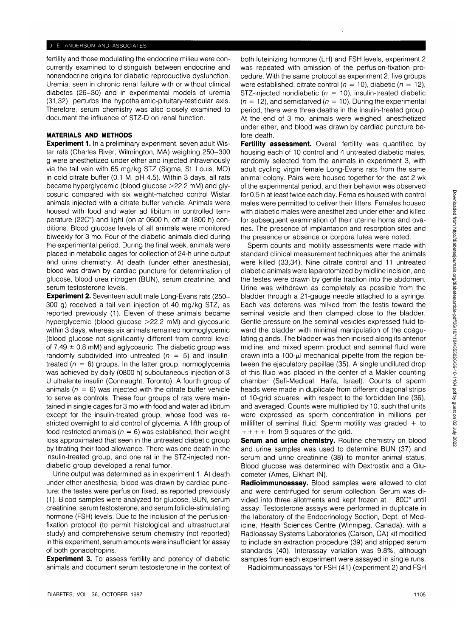## J E. ANDERSON AND ASSOCIATES

fertility and those modulating the endocrine milieu were concurrently examined to distinguish between endocrine and nonendocrine origins for diabetic reproductive dysfunction. Uremia, seen in chronic renal failure with or without clinical diabetes (26-30) and in experimental models of uremia (31,32), perturbs the hypothalamic-pituitary-testicular axis. Therefore, serum chemistry was also closely examined to document the influence of STZ-D on renal function.

# **MATERIALS AND METHODS**

**Experiment 1**. In a preliminary experiment, seven adult Wistar rats (Charles River, Wilmington, MA) weighing 250-300 g were anesthetized under ether and injected intravenously via the tail vein with 65 mg/kg STZ (Sigma, St. Louis, MO) in cold citrate buffer (0.1 M, pH 4.5). Within 3 days, all rats became hyperglycemic (blood glucose >22.2 mM) and glycosuric compared with six weight-matched control Wistar animals injected with a citrate buffer vehicle. Animals were housed with food and water ad libitum in controlled temperature (22C°) and light (on at 0600 h, off at 1800 h) conditions. Blood glucose levels of all animals were monitored biweekly for 3 mo. Four of the diabetic animals died during the experimental period. During the final week, animals were placed in metabolic cages for collection of 24-h urine output and urine chemistry. At death (under ether anesthesia), blood was drawn by cardiac puncture for determination of glucose, blood urea nitrogen (BUN), serum creatinine, and serum testosterone levels.

**Experiment 2.** Seventeen adult male Long-Evans rats (250- 300 g) received a tail vein injection of 40 mg/kg STZ, as reported previously (1). Eleven of these animals became hyperglycemic (blood glucose >22.2 mM) and glycosuric within 3 days, whereas six animals remained normoglycemic (blood glucose not significantly different from control level of  $7.49 \pm 0.8$  mM) and aglycosuric. The diabetic group was randomly subdivided into untreated ( $n = 5$ ) and insulintreated  $(n = 6)$  groups. In the latter group, normoglycemia was achieved by daily (0800 h) subcutaneous injection of 3 U ultralente insulin (Connaught, Toronto). A fourth group of animals ( $n = 6$ ) was injected with the citrate buffer vehicle to serve as controls. These four groups of rats were maintained in single cages for 3 mo with food and water ad libitum except for the insulin-treated group, whose food was restricted overnight to aid control of glycemia. A fifth group of food-restricted animals ( $n = 6$ ) was established; their weight loss approximated that seen in the untreated diabetic group by titrating their food allowance. There was one death in the insulin-treated group, and one rat in the STZ-injected nondiabetic group developed a renal tumor.

Urine output was determined as in experiment 1. At death under ether anesthesia, blood was drawn by cardiac puncture; the testes were perfusion fixed, as reported previously (1). Blood samples were analyzed for glucose, BUN, serum creatinine, serum testosterone, and serum follicle-stimulating hormone (FSH) levels. Due to the inclusion of the perfusionfixation protocol (to permit histological and ultrastructural study) and comprehensive serum chemistry (not reported) in this experiment, serum amounts were insufficient for assay of both gonadotropins.

**Experiment 3.** To assess fertility and potency of diabetic animals and document serum testosterone in the context of

both luteinizing hormone (LH) and FSH levels, experiment 2 was repeated with omission of the perfusion-fixation procedure. With the same protocol as experiment 2, five groups were established: citrate control ( $n = 10$ ), diabetic ( $n = 12$ ), STZ-injected nondiabetic ( $n = 10$ ), insulin-treated diabetic  $(n = 12)$ , and semistarved  $(n = 10)$ . During the experimental period, there were three deaths in the insulin-treated group. At the end of 3 mo, animals were weighed, anesthetized under ether, and blood was drawn by cardiac puncture before death.

**Fertility assessment.** Overall fertility was quantified by housing each of 10 control and 4 untreated diabetic males, randomly selected from the animals in experiment 3, with adult cycling virgin female Long-Evans rats from the same animal colony. Pairs were housed together for the last 2 wk of the experimental period, and their behavior was observed for 0.5 h at least twice each day. Females housed with control males were permitted to deliver their litters. Females housed with diabetic males were anesthetized under ether and killed for subsequent examination of their uterine horns and ovaries. The presence of implantation and resorption sites and the presence or absence or corpora lutea were noted.

Sperm counts and motility assessments were made with standard clinical measurement techniques after the animals were killed (33,34). Nine citrate control and 11 untreated diabetic animals were laparotomized by midline incision, and the testes were drawn by gentle traction into the abdomen. Urine was withdrawn as completely as possible from the bladder through a 21-gauge needle attached to a syringe. Each vas deferens was milked from the testis toward the seminal vesicle and then clamped close to the bladder. Gentle pressure on the seminal vesicles expressed fluid toward the bladder with minimal manipulation of the coagulating glands. The bladder was then incised along its anterior midline, and mixed sperm product and seminal fluid were drawn into a 100- $\mu$ I mechanical pipette from the region between the ejaculatory papillae (35). A single undiluted drop of this fluid was placed in the center of a Makler counting chamber (Sefi-Medical, Haifa, Israel). Counts of sperm heads were made in duplicate from different diagonal strips of 10-grid squares, with respect to the forbidden line (36), and averaged. Counts were multiplied by 10, such that units were expressed as sperm concentration in millions per milliliter of seminal fluid. Sperm motility was graded  $+$  to  $++++$  from 9 squares of the grid.

**Serum and urine chemistry.** Routine chemistry on blood and urine samples was used to determine BUN (37) and serum and urine creatinine (38) to monitor animal status. Blood glucose was determined with Dextrostix and a Glucometer (Ames, Elkhart IN).

**Radioimmunoassay.** Blood samples were allowed to clot and were centrifuged for serum collection. Serum was divided into three allotments and kept frozen at  $-80C<sup>o</sup>$  until assay. Testosterone assays were performed in duplicate in the laboratory of the Endocrinology Section, Dept. of Medicine, Health Sciences Centre (Winnipeg, Canada), with a Radioassay Systems Laboratories (Carson, CA) kit modified to include an extraction procedure (39) and stripped serum standards (40). Interassay variation was 9.8%, although samples from each experiment were assayed in single runs.

Radioimmunoassays for FSH (41) (experiment 2) and FSH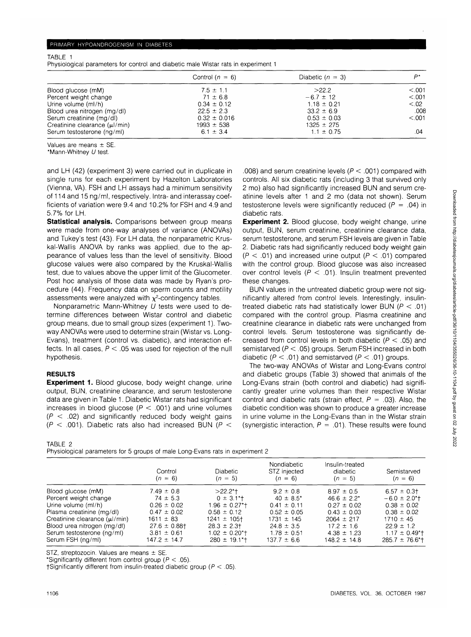TABLE 1

Physiological parameters for control and diabetic male Wistar rats in experiment 1

|                              | Control $(n = 6)$ | Diabetic $(n = 3)$ | D*      |  |
|------------------------------|-------------------|--------------------|---------|--|
| Blood glucose (mM)           | $7.5 \pm 1.1$     | >22.2              | < 0.001 |  |
| Percent weight change        | $71 \pm 6.8$      | $-6.7 \pm 12$      | < 0.001 |  |
| Urine volume (ml/h)          | $0.34 \pm 0.12$   | $1.18 \pm 0.21$    | < 02    |  |
| Blood urea nitrogen (mg/dl)  | $22.5 \pm 2.3$    | $33.2 \pm 6.9$     | .008    |  |
| Serum creatinine (mg/dl)     | $0.32 \pm 0.016$  | $0.53 \pm 0.03$    | < 0.001 |  |
| Creatinine clearance (µ/min) | $1993 \pm 538$    | $1325 \pm 275$     |         |  |
| Serum testosterone (ng/ml)   | $6.1 \pm 3.4$     | $1.1 \pm 0.75$     | .04     |  |

Values are means ± SE.

\*Mann-Whitney U test.

and LH (42) (experiment 3) were carried out in duplicate in single runs for each experiment by Hazelton Laboratories (Vienna, VA). FSH and LH assays had a minimum sensitivity of 114 and 15 ng/ml, respectively. Intra- and interassay coefficients of variation were 9.4 and 10.2% for FSH and 4.9 and 5.7% for LH.

**Statistical analysis.** Comparisons between group means were made from one-way analyses of variance (ANOVAs) and Tukey's test (43). For LH data, the nonparametric Kruskal-Wallis ANOVA by ranks was applied, due to the appearance of values less than the level of sensitivity. Blood glucose values were also compared by the Kruskal-Wallis test, due to values above the upper limit of the Glucometer. Post hoc analysis of those data was made by Ryan's procedure (44). Frequency data on sperm counts and motility assessments were analyzed with  $\chi^2$ -contingency tables.

Nonparametric Mann-Whitney U tests were used to determine differences between Wistar control and diabetic group means, due to small group sizes (experiment 1). Twoway ANOVAs were used to determine strain (Wistar vs. Long-Evans), treatment (control vs. diabetic), and interaction effects. In all cases,  $P < 0.05$  was used for rejection of the null hypothesis.

# **RESULTS**

**Experiment 1.** Blood glucose, body weight change, urine output, BUN, creatinine clearance, and serum testosterone data are given in Table 1. Diabetic Wistar rats had significant increases in blood glucose ( $P < .001$ ) and urine volumes  $(P < .02)$  and significantly reduced body weight gains  $(P < .001)$ . Diabetic rats also had increased BUN ( $P <$ 

TABLE 2

Physiological parameters for 5 groups of male Long-Evans rats in experiment 2

.008) and serum creatinine levels  $(P < .001)$  compared with controls. All six diabetic rats (including 3 that survived only 2 mo) also had significantly increased BUN and serum creatinine levels after 1 and 2 mo (data not shown). Serum testosterone levels were significantly reduced  $(P = .04)$  in diabetic rats.

**Experiment 2.** Blood glucose, body weight change, urine output, BUN, serum creatinine, creatinine clearance data, serum testosterone, and serum FSH levels are given in Table 2. Diabetic rats had significantly reduced body weight gain  $(P < .01)$  and increased urine output  $(P < .01)$  compared with the control group. Blood glucose was also increased over control levels ( $P < .01$ ). Insulin treatment prevented these changes.

BUN values in the untreated diabetic group were not significantly altered from control levels. Interestingly, insulintreated diabetic rats had statistically lower BUN ( $P < .01$ ) compared with the control group. Plasma creatinine and creatinine clearance in diabetic rats were unchanged from control levels. Serum testosterone was significantly decreased from control levels in both diabetic ( $P < .05$ ) and semistarved ( $P < .05$ ) groups. Serum FSH increased in both diabetic ( $P < .01$ ) and semistarved ( $P < .01$ ) groups.

The two-way ANOVAs of Wistar and Long-Evans control and diabetic groups (Table 3) showed that animals of the Long-Evans strain (both control and diabetic) had significantly greater urine volumes than their respective Wistar control and diabetic rats (strain effect,  $P = .03$ ). Also, the diabetic condition was shown to produce a greater increase in urine volume in the Long-Evans than in the Wistar strain (synergistic interaction,  $P = .01$ ). These results were found

|                               | Control           | <b>Diabetic</b>                | Nondiabetic<br>STZ injected | Insulin-treated<br>diabetic | Semistarved                     |  |
|-------------------------------|-------------------|--------------------------------|-----------------------------|-----------------------------|---------------------------------|--|
|                               | $(n = 6)$         | $(n = 5)$                      | $(n = 6)$                   | $(n = 5)$                   | $(n = 6)$                       |  |
| Blood glucose (mM)            | $7.49 \pm 0.8$    | $>22.2$ *†                     | $9.2 \pm 0.8$               | $8.97 \pm 0.5$              | $6.57 \pm 0.3$                  |  |
| Percent weight change         | $74 \pm 5.3$      | $0 \pm 3.1$ <sup>*</sup> t     | $40 \pm 8.5^*$              | $46.6 \pm 2.2^*$            | $-6.0 \pm 2.0$ <sup>*</sup> t   |  |
| Urine volume (ml/h)           | $0.26 \pm 0.02$   | $1.96 \pm 0.27$ <sup>*</sup> t | $0.41 \pm 0.11$             | $0.27 \pm 0.02$             | $0.38 \pm 0.02$                 |  |
| Plasma creatinine (mg/dl)     | $0.47 \pm 0.02$   | $0.58 \pm 0.12$                | $0.52 \pm 0.05$             | $0.43 \pm 0.03$             | $0.38 \pm 0.02$                 |  |
| Creatinine clearance (µl/min) | $1611 \pm 83$     | $1241 \pm 105$ t               | $1731 \pm 145$              | $2064 \pm 217$              | $1710 \pm 45$                   |  |
| Blood urea nitrogen (mg/dl)   | $27.6 \pm 0.88$ t | $28.3 \pm 2.3$                 | $24.8 \pm 3.5$              | $17.2 \pm 1.6$              | $22.9 \pm 1.2$                  |  |
| Serum testosterone (ng/ml)    | $3.81 \pm 0.61$   | $1.02 \pm 0.20$ <sup>*</sup> t | $1.78 \pm 0.51$             | $4.38 \pm 1.23$             | $1.17 \pm 0.49$ <sup>*</sup> t  |  |
| Serum FSH (ng/ml)             | $147.2 \pm 14.7$  | $280 \pm 19.1$ <sup>*</sup>    | $137.7 \pm 6.6$             | $148.2 \pm 14.8$            | $285.7 \pm 76.6$ <sup>*</sup> t |  |

STZ, streptozocin. Values are means ± SE.

\*Significantly different from control group  $(P < .05)$ .

†Significantly different from insulin-treated diabetic group ( $P < .05$ ).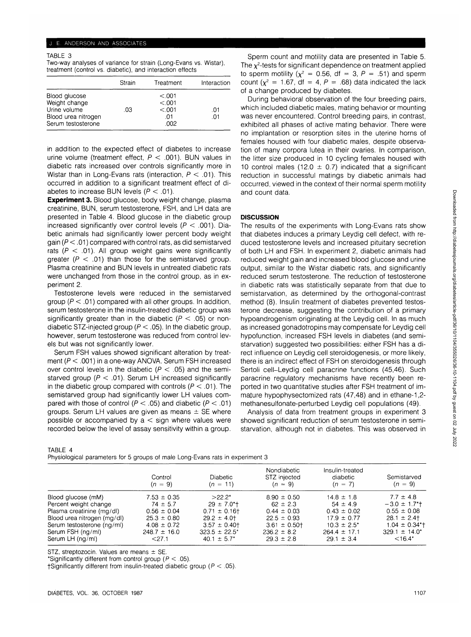## J. E. ANDERSON AND ASSOCIATES

#### TABLE 3

Two-way analyses of variance for strain (Long-Evans vs. Wistar), treatment (control vs. diabetic), and interaction effects

|                                                                                             | Strain | Treatment                                   | Interaction |
|---------------------------------------------------------------------------------------------|--------|---------------------------------------------|-------------|
| Blood glucose<br>Weight change<br>Urine volume<br>Blood urea nitrogen<br>Serum testosterone | .03    | < 0.001<br>< 0.001<br>< 0.001<br>.01<br>ററാ | .01<br>.01  |

in addition to the expected effect of diabetes to increase urine volume (treatment effect,  $P < .001$ ). BUN values in diabetic rats increased over controls significantly more in Wistar than in Long-Evans rats (interaction,  $P < .01$ ). This occurred in addition to a significant treatment effect of diabetes to increase BUN levels  $(P < .01)$ .

**Experiment 3.** Blood glucose, body weight change, plasma creatinine, BUN, serum testosterone, FSH, and LH data are presented in Table 4. Blood glucose in the diabetic group increased significantly over control levels ( $P < .001$ ). Diabetic animals had significantly lower percent body weight gain ( $P < .01$ ) compared with control rats, as did semistarved rats ( $P < .01$ ). All group weight gains were significantly greater ( $P < .01$ ) than those for the semistarved group. Plasma creatinine and BUN levels in untreated diabetic rats were unchanged from those in the control group, as in experiment 2.

Testosterone levels were reduced in the semistarved group ( $P < .01$ ) compared with all other groups. In addition, serum testosterone in the insulin-treated diabetic group was significantly greater than in the diabetic ( $P < .05$ ) or nondiabetic STZ-injected group ( $P < .05$ ). In the diabetic group, however, serum testosterone was reduced from control levels but was not significantly lower.

Serum FSH values showed significant alteration by treatment ( $P < .001$ ) in a one-way ANOVA. Serum FSH increased over control levels in the diabetic ( $P < .05$ ) and the semistarved group ( $P < .01$ ). Serum LH increased significantly in the diabetic group compared with controls ( $P < .01$ ). The semistarved group had significantly lower LH values compared with those of control ( $P < .05$ ) and diabetic ( $P < .01$ ) groups. Serum LH values are given as means  $\pm$  SE where possible or accompanied by  $a <$  sign where values were recorded below the level of assay sensitivity within a group.

Sperm count and motility data are presented in Table 5. The  $\chi^2$ -tests for significant dependence on treatment applied to sperm motility ( $\chi^2 = 0.56$ , df = 3, P = .51) and sperm count ( $\chi^2 = 1.67$ , df = 4, P = .68) data indicated the lack of a change produced by diabetes.

During behavioral observation of the four breeding pairs, which included diabetic males, mating behavior or mounting was never encountered. Control breeding pairs, in contrast, exhibited all phases of active mating behavior. There were no implantation or resorption sites in the uterine horns of females housed with four diabetic males, despite observation of many corpora lutea in their ovaries. In comparison, the litter size produced in 10 cycling females housed with 10 control males (12.0  $\pm$  0.7) indicated that a significant reduction in successful matings by diabetic animals had occurred, viewed in the context of their normal sperm motility and count data.

# **DISCUSSION**

The results of the experiments with Long-Evans rats show that diabetes induces a primary Leydig cell defect, with reduced testosterone levels and increased pituitary secretion of both LH and FSH. In experiment 2, diabetic animals had reduced weight gain and increased blood glucose and urine output, similar to the Wistar diabetic rats, and significantly reduced serum testosterone. The reduction of testosterone in diabetic rats was statistically separate from that due to semistarvation, as determined by the orthogonal-contrast method (8). Insulin treatment of diabetes prevented testosterone decrease, suggesting the contribution of a primary hypoandrogenism originating at the Leydig cell. In as much as increased gonadotropins may compensate for Leydig cell hypofunction, increased FSH levels in diabetes (and semistarvation) suggested two possibilities: either FSH has a direct influence on Leydig cell steroidogenesis, or more likely, there is an indirect effect of FSH on steroidogenesis through Sertoli cell-Leydig cell paracrine functions (45,46). Such paracrine regulatory mechanisms have recently been reported in two quantitative studies after FSH treatment of immature hypophysectomized rats (47,48) and in ethane-1,2 methanesulfonate-perturbed Leydig cell populations (49).

Analysis of data from treatment groups in experiment 3 showed significant reduction of serum testosterone in semistarvation, although not in diabetes. This was observed in

## TABLE 4

Physiological parameters for 5 groups of male Long-Evans rats in experiment 3

|                             | Control<br>$(n = 9)$ | <b>Diabetic</b><br>$(n = 11)$ | Nondiabetic<br>STZ injected<br>$(n = 9)$ | Insulin-treated<br>diabetic<br>$(n = 7)$ | Semistarved<br>$(n = 9)$       |
|-----------------------------|----------------------|-------------------------------|------------------------------------------|------------------------------------------|--------------------------------|
| Blood glucose (mM)          | $7.53 \pm 0.35$      | $>22.2*$                      | $8.90 \pm 0.50$                          | $14.8 \pm 1.8$                           | $7.7 \pm 4.8$                  |
| Percent weight change       | $74 \pm 5.7$         | $29 \pm 7.0$ *†               | $62 \pm 2.3$                             | $54 \pm 4.9$                             | $-3.0 \pm 1.7$ <sup>*</sup> t  |
| Plasma creatinine (mg/dl)   | $0.56 \pm 0.04$      | $0.71 \pm 0.16$               | $0.44 \pm 0.03$                          | $0.43 \pm 0.02$                          | $0.55 \pm 0.08$                |
| Blood urea nitrogen (mg/dl) | $25.3 \pm 0.80$      | $29.2 \pm 4.0$                | $22.5 \pm 0.93$                          | $17.9 \pm 0.77$                          | $28.1 \pm 2.4$                 |
| Serum testosterone (ng/ml)  | $4.08 \pm 0.72$      | $3.57 \pm 0.40$ †             | $3.61 \pm 0.50$                          | $10.3 \pm 2.5^*$                         | $1.04 \pm 0.34$ <sup>*</sup> t |
| Serum FSH (ng/ml)           | $248.7 \pm 16.0$     | $323.5 \pm 22.5^*$            | $236.2 \pm 8.2$                          | $264.4 \pm 17.1$                         | $329.1 \pm 14.0^*$             |
| Serum LH (ng/ml)            | $<$ 27.1             | $40.1 \pm 5.7^*$              | $29.3 \pm 2.8$                           | $29.1 \pm 3.4$                           | $<$ 16.4*                      |

STZ, streptozocin. Values are means  $\pm$  SE.

\*Significantly different from control group ( $P < .05$ ).

†Significantly different from insulin-treated diabetic group ( $P < .05$ ).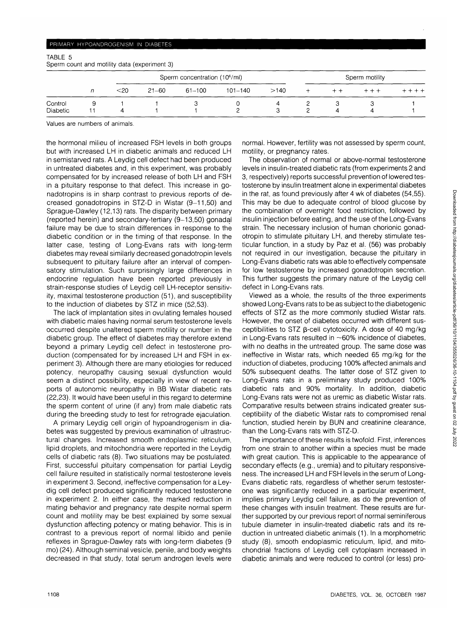## PRIMARY HYPOANDROGENISM IN DIABETES

## TABLE 5 Sperm count and motility data (experiment 3)

|                     |        |           | Sperm concentration (10 <sup>6</sup> /ml) |             |      |  | Sperm motility |  |
|---------------------|--------|-----------|-------------------------------------------|-------------|------|--|----------------|--|
|                     | $<$ 20 | $21 - 60$ | 61-100                                    | $101 - 140$ | >140 |  |                |  |
| Control<br>Diabetic |        |           |                                           |             |      |  |                |  |

Values are numbers of animals.

the hormonal milieu of increased FSH levels in both groups but with increased LH in diabetic animals and reduced LH in semistarved rats. A Leydig cell defect had been produced in untreated diabetes and, in this experiment, was probably compensated for by increased release of both LH and FSH in a pituitary response to that defect. This increase in gonadotropins is in sharp contrast to previous reports of decreased gonadotropins in STZ-D in Wistar (9-11,50) and Sprague-Dawley (12,13) rats. The disparity between primary (reported herein) and secondary-tertiary (9-13,50) gonadal failure may be due to strain differences in response to the diabetic condition or in the timing of that response. In the latter case, testing of Long-Evans rats with long-term diabetes may reveal similarly decreased gonadotropin levels subsequent to pituitary failure after an interval of compensatory stimulation. Such surprisingly large differences in endocrine regulation have been reported previously in strain-response studies of Leydig cell LH-receptor sensitivity, maximal testosterone production (51), and susceptibility to the induction of diabetes by STZ in mice (52,53).

The lack of implantation sites in ovulating females housed with diabetic males having normal serum testosterone levels occurred despite unaltered sperm motility or number in the diabetic group. The effect of diabetes may therefore extend beyond a primary Leydig cell defect in testosterone production (compensated for by increased LH and FSH in experiment 3). Although there are many etiologies for reduced potency, neuropathy causing sexual dysfunction would seem a distinct possibility, especially in view of recent reports of autonomic neuropathy in BB Wistar diabetic rats (22,23). It would have been useful in this regard to determine the sperm content of urine (if any) from male diabetic rats during the breeding study to test for retrograde ejaculation.

A primary Leydig cell origin of hypoandrogenism in diabetes was suggested by previous examination of ultrastructural changes. Increased smooth endoplasmic reticulum, lipid droplets, and mitochondria were reported in the Leydig cells of diabetic rats (8). Two situations may be postulated. First, successful pituitary compensation for partial Leydig cell failure resulted in statistically normal testosterone levels in experiment 3. Second, ineffective compensation for a Leydig cell defect produced significantly reduced testosterone in experiment 2. In either case, the marked reduction in mating behavior and pregnancy rate despite normal sperm count and motility may be best explained by some sexual dysfunction affecting potency or mating behavior. This is in contrast to a previous report of normal libido and penile reflexes in Sprague-Dawley rats with long-term diabetes (9 mo) (24). Although seminal vesicle, penile, and body weights decreased in that study, total serum androgen levels were normal. However, fertility was not assessed by sperm count, motility, or pregnancy rates.

The observation of normal or above-normal testosterone levels in insulin-treated diabetic rats (from experiments 2 and 3, respectively) reports successful prevention of lowered testosterone by insulin treatment alone in experimental diabetes in the rat, as found previously after 4 wk of diabetes (54,55). This may be due to adequate control of blood glucose by the combination of overnight food restriction, followed by insulin injection before eating, and the use of the Long-Evans strain. The necessary inclusion of human chorionic gonadotropin to stimulate pituitary LH, and thereby stimulate testicular function, in a study by Paz et al. (56) was probably not required in our investigation, because the pituitary in Long-Evans diabetic rats was able to effectively compensate for low testosterone by increased gonadotropin secretion. This further suggests the primary nature of the Leydig cell defect in Long-Evans rats.

Viewed as a whole, the results of the three experiments showed Long-Evans rats to be as subject to the diabetogenic effects of STZ as the more commonly studied Wistar rats. However, the onset of diabetes occurred with different susceptibilities to STZ B-cell cytotoxicity. A dose of 40 mg/kg in Long-Evans rats resulted in  $~60\%$  incidence of diabetes, with no deaths in the untreated group. The same dose was ineffective in Wistar rats, which needed 65 mg/kg for the induction of diabetes, producing 100% affected animals and 50% subsequent deaths. The latter dose of STZ given to Long-Evans rats in a preliminary study produced 100% diabetic rats and 90% mortality. In addition, diabetic Long-Evans rats were not as uremic as diabetic Wistar rats. Comparative results between strains indicated greater susceptibility of the diabetic Wistar rats to compromised renal function, studied herein by BUN and creatinine clearance, than the Long-Evans rats with STZ-D.

The importance of these results is twofold. First, inferences from one strain to another within a species must be made with great caution. This is applicable to the appearance of secondary effects (e.g., uremia) and to pituitary responsiveness. The increased LH and FSH levels in the serum of Long-Evans diabetic rats, regardless of whether serum testosterone was significantly reduced in a particular experiment, implies primary Leydig cell failure, as do the prevention of these changes with insulin treatment. These results are further supported by our previous report of normal seminiferous tubule diameter in insulin-treated diabetic rats and its reduction in untreated diabetic animals (1). In a morphometric study (8), smooth endoplasmic reticulum, lipid, and mitochondrial fractions of Leydig cell cytoplasm increased in diabetic animals and were reduced to control (or less) pro-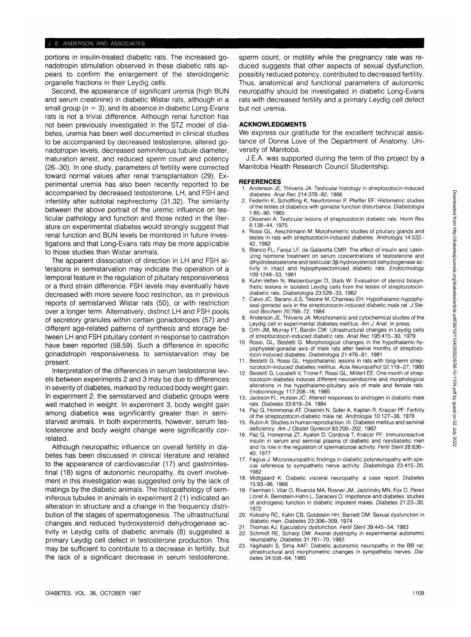## J. E. ANDERSON AND ASSOCIATES

portions in insulin-treated diabetic rats. The increased gonadotropin stimulation observed in these diabetic rats appears to confirm the enlargement of the steroidogenic organelle fractions in their Leydig cells.

Second, the appearance of significant uremia (high BUN and serum creatinine) in diabetic Wistar rats, although in a small group ( $n = 3$ ), and its absence in diabetic Long-Evans rats is not a trivial difference. Although renal function has not been previously investigated in the STZ model of diabetes, uremia has been well documented in clinical studies to be accompanied by decreased testosterone, altered gonadotropin levels, decreased seminiferous tubule diameter, maturation arrest, and reduced sperm count and potency (26-30). In one study, parameters of fertility were corrected toward normal values after renal transplantation (29). Experimental uremia has also been recently reported to be accompanied by decreased testosterone, LH, and FSH and infertility after subtotal nephrectomy (31,32). The similarity between the above portrait of the uremic influence on testicular pathology and function and those noted in the literature on experimental diabetes would strongly suggest that renal function and BUN levels be monitored in future investigations and that Long-Evans rats may be more applicable to those studies than Wistar animals.

The apparent dissociation of direction in LH and FSH alterations in semistarvation may indicate the operation of a temporal feature in the regulation of pituitary responsiveness or a third strain difference. FSH levels may eventually have decreased with more severe food restriction, as in previous reports of semistarved Wistar rats (50), or with restriction over a longer term. Alternatively, distinct LH and FSH pools of secretory granules within certain gonadotropes (57) and different age-related patterns of synthesis and storage between LH and FSH pituitary content in response to castration have been reported (58,59). Such a difference in specific gonadotropin responsiveness to semistarvation may be present.

Interpretation of the differences in serum testosterone levels between experiments 2 and 3 may be due to differences in severity of diabetes, marked by reduced body weight gain. In experiment 2, the semistarved and diabetic groups were well matched in weight. In experiment 3, body weight gain among diabetics was significantly greater than in semistarved animals. In both experiments, however, serum testosterone and body weight change were significantly correlated.

Although neuropathic influence on overall fertility in diabetes has been discussed in clinical literature and related to the appearance of cardiovascular (17) and gastrointestinal (18) signs of autonomic neuropathy, its overt involvement in this investigation was suggested only by the lack of matings by the diabetic animals. The histopathology of seminiferous tubules in animals in experiment 2 (1) indicated an alteration in structure and a change in the frequency distribution of the stages of spermatogenesis. The ultrastructural changes and reduced hydroxysteroid dehydrogenase activity in Leydig cells of diabetic animals (8) suggested a primary Leydig cell defect in testosterone production. This may be sufficient to contribute to a decrease in fertility, but the lack of a significant decrease in serum testosterone,

sperm count, or motility while the pregnancy rate was reduced suggests that other aspects of sexual dysfunction, possibly reduced potency, contributed to decreased fertility. Thus, anatomical and functional parameters of autonomic neuropathy should be investigated in diabetic Long-Evans rats with decreased fertility and a primary Leydig cell defect but not uremia.

# **ACKNOWLEDGMENTS**

We express our gratitude for the excellent technical assistance of Donna Love of the Department of Anatomy, University of Manitoba.

J.E.A. was supported during the term of this project by a Manitoba Health Research Council Studentship.

## **REFERENCES**

- Anderson JE, Thliveris JA: Testicular histology in streptozotocin-induced diabetes. Anat Rec 214:378-82, 1986
- 2. Federlin K, Schoffling K, Neurbronner P, Pfeiffer EF: Histometric studies of the testes of diabetics with gonadal function disturbance. Diabetologia 1:85-90, 1965
- Oksanen A: Testicular lesions of streptozotocin diabetic rats. Horm Res 6:138-44, 1975
- 4. Rossi GL, Aeschlimann M: Morphometric studies of pituitary glands and testes in rats with streptozotocin-induced diabetes. Andrologia 14:532- 42, 1982
- 5. Blanco FL, Fanjul LF, de Galaretta CMR: The effect of insulin and luteinizing hormone treatment on serum concentrations of testosterone and dihydrotestosterone and testicular 33-hydroxysteroid dehydrogenase activity in intact and hypophysectomized diabetic rats. Endocrinology 109:1248-53, 1981
- 6. Kuhn-Velten N, Waldenburger D, Staib W: Evaluation of steroid biosynthetic lesions in isolated Leydig cells from the testes of streptozotocindiabetic rats. Diabetologia 23:529-33, 1982
- 7. Calvo JC, Barano JLS, Tesone M, Charreau EH: Hypothalamic-hypophyseal-gonadal axis in the streptozotocin-induced diabetic male rat. J Steroid Biochem 20:769-72, 1984
- Anderson JE, Thliveris JA: Morphometric and cytochemical studies of the Leydig cell in experimental diabetes mellitus. Am J Anat. In press 9. Orth JM, Murray FT, Bardin CW: Ultrastructural changes in Leydig cells
- of streptozotocin-induced diabetic rats. Anat Rec 195:415-30, 1979
- 10. Rossi, GL, Bestetti G: Morphological changes in the hypothalamic-hypophyseal-gonadal axis of male rats after twelve months of streptozotocin-induced diabetes. Diabetologia 21:476-81, 1981
- Bestetti G, Rossi GL: Hypothalamic lesions in rats with long-term streptozotocin-induced diabetes mellitus. Acta Neuropathol 52:119-27, 1980
- 12. Bestetti G, Locatelli V, Tirone F, Rossi GL, Miillert EE: One month of streptozotocin-diabetes induces different neuroendocrine and morphological alterations in the hypothalamo-pituitary axis of male and female rats. Endocrinology 117:208-16, 1985
- 13.- Jackson FL, Hutson JC: Altered responses to androgen in diabetic male rats. Diabetes 33:819-24, 1984
- 14. Paz G, Hommonai AT, Drasmin N, Sofer A, Kaplan R, Kraicer PF: Fertility of the streptozotocin-diabetic male rat. Andrologia 10:127-36, 1978
- 15. Rubin A: Studies in human reproduction. III. Diabetes mellitus and seminal deficiency. Am J Obstet Gynecol 83:200-202, 1962
- 16. Paz G, Homonnai ZT, Ayalon D, Cordova T, Kraicer PF: Immunoreactive insulin in serum and seminal plasma of diabetic and nondiabetic men and its role in the regulation of spermatozoal activity. Fertil Steril 28:836- 40, 1977
- 17. Fagius J: Microneuropathic findings in diabetic polyneuropathy with special reference to sympathetic nerve activity. Diabetologia 23:415-20, 1982
- 18. Midtgaard K: Diabetic visceral neuropathy: a case report. Diabetes 15:93-96, 1966
- 19. Faerman I, Vilar O, Rivarola MA, Rosner JM, Jadzinsky MN, Fox D, Perez Lloret A, Bemstein-Hahn L, Saraceni D: Impotence and diabetes: studies of androgenic function in diabetic impotent males. Diabetes 21:23-30, 1972
- 20. Kolodny RC, Kahn CB, Goldstein HH, Barnett DM: Sexual dysfunction in diabetic men. Diabetes 23:306-309, 1974
	- 21. Thomas AJ: Ejaculatory dysfunction. Fertil Steril 39:445-54, 1983
- 22. Schmidt RE, Scharp DW: Axonal dystrophy in experimental autonomic neuropathy. Diabetes 31:761-70, 1982
- 23. Yagihashi S, Sima AAF: Diabetic autonomic neuropathy in the BB rat: ultrastructural and morphometric changes in sympathetic nerves. Diabetes 34:558-64, 1985